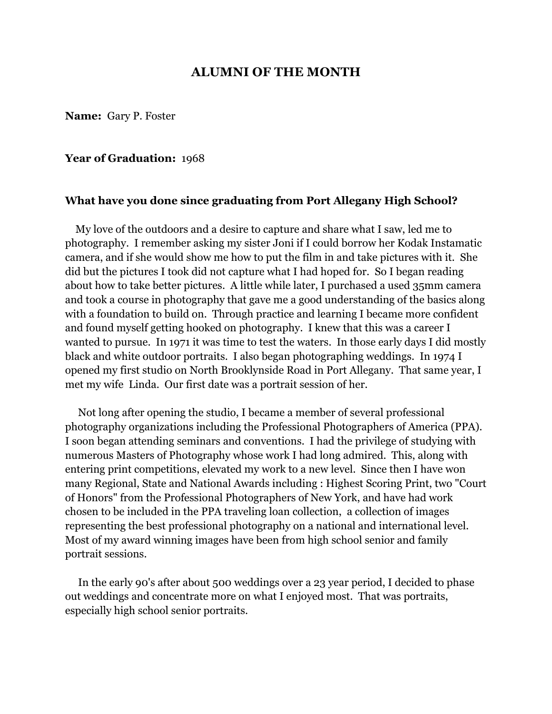## **ALUMNI OF THE MONTH**

**Name:** Gary P. Foster

### **Year of Graduation:** 1968

### **What have you done since graduating from Port Allegany High School?**

 My love of the outdoors and a desire to capture and share what I saw, led me to photography. I remember asking my sister Joni if I could borrow her Kodak Instamatic camera, and if she would show me how to put the film in and take pictures with it. She did but the pictures I took did not capture what I had hoped for. So I began reading about how to take better pictures. A little while later, I purchased a used 35mm camera and took a course in photography that gave me a good understanding of the basics along with a foundation to build on. Through practice and learning I became more confident and found myself getting hooked on photography. I knew that this was a career I wanted to pursue. In 1971 it was time to test the waters. In those early days I did mostly black and white outdoor portraits. I also began photographing weddings. In 1974 I opened my first studio on North Brooklynside Road in Port Allegany. That same year, I met my wife Linda. Our first date was a portrait session of her.

 Not long after opening the studio, I became a member of several professional photography organizations including the Professional Photographers of America (PPA). I soon began attending seminars and conventions. I had the privilege of studying with numerous Masters of Photography whose work I had long admired. This, along with entering print competitions, elevated my work to a new level. Since then I have won many Regional, State and National Awards including : Highest Scoring Print, two "Court of Honors" from the Professional Photographers of New York, and have had work chosen to be included in the PPA traveling loan collection, a collection of images representing the best professional photography on a national and international level. Most of my award winning images have been from high school senior and family portrait sessions.

 In the early 90's after about 500 weddings over a 23 year period, I decided to phase out weddings and concentrate more on what I enjoyed most. That was portraits, especially high school senior portraits.